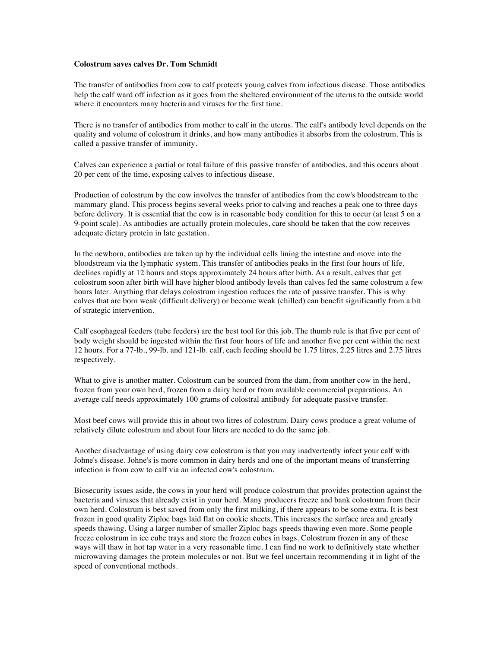## **Colostrum saves calves Dr. Tom Schmidt**

The transfer of antibodies from cow to calf protects young calves from infectious disease. Those antibodies help the calf ward off infection as it goes from the sheltered environment of the uterus to the outside world where it encounters many bacteria and viruses for the first time.

There is no transfer of antibodies from mother to calf in the uterus. The calf's antibody level depends on the quality and volume of colostrum it drinks, and how many antibodies it absorbs from the colostrum. This is called a passive transfer of immunity.

Calves can experience a partial or total failure of this passive transfer of antibodies, and this occurs about 20 per cent of the time, exposing calves to infectious disease.

Production of colostrum by the cow involves the transfer of antibodies from the cow's bloodstream to the mammary gland. This process begins several weeks prior to calving and reaches a peak one to three days before delivery. It is essential that the cow is in reasonable body condition for this to occur (at least 5 on a 9-point scale). As antibodies are actually protein molecules, care should be taken that the cow receives adequate dietary protein in late gestation.

In the newborn, antibodies are taken up by the individual cells lining the intestine and move into the bloodstream via the lymphatic system. This transfer of antibodies peaks in the first four hours of life, declines rapidly at 12 hours and stops approximately 24 hours after birth. As a result, calves that get colostrum soon after birth will have higher blood antibody levels than calves fed the same colostrum a few hours later. Anything that delays colostrum ingestion reduces the rate of passive transfer. This is why calves that are born weak (difficult delivery) or become weak (chilled) can benefit significantly from a bit of strategic intervention.

Calf esophageal feeders (tube feeders) are the best tool for this job. The thumb rule is that five per cent of body weight should be ingested within the first four hours of life and another five per cent within the next 12 hours. For a 77-lb., 99-lb. and 121-lb. calf, each feeding should be 1.75 litres, 2.25 litres and 2.75 litres respectively.

What to give is another matter. Colostrum can be sourced from the dam, from another cow in the herd, frozen from your own herd, frozen from a dairy herd or from available commercial preparations. An average calf needs approximately 100 grams of colostral antibody for adequate passive transfer.

Most beef cows will provide this in about two litres of colostrum. Dairy cows produce a great volume of relatively dilute colostrum and about four liters are needed to do the same job.

Another disadvantage of using dairy cow colostrum is that you may inadvertently infect your calf with Johne's disease. Johne's is more common in dairy herds and one of the important means of transferring infection is from cow to calf via an infected cow's colostrum.

Biosecurity issues aside, the cows in your herd will produce colostrum that provides protection against the bacteria and viruses that already exist in your herd. Many producers freeze and bank colostrum from their own herd. Colostrum is best saved from only the first milking, if there appears to be some extra. It is best frozen in good quality Ziploc bags laid flat on cookie sheets. This increases the surface area and greatly speeds thawing. Using a larger number of smaller Ziploc bags speeds thawing even more. Some people freeze colostrum in ice cube trays and store the frozen cubes in bags. Colostrum frozen in any of these ways will thaw in hot tap water in a very reasonable time. I can find no work to definitively state whether microwaving damages the protein molecules or not. But we feel uncertain recommending it in light of the speed of conventional methods.